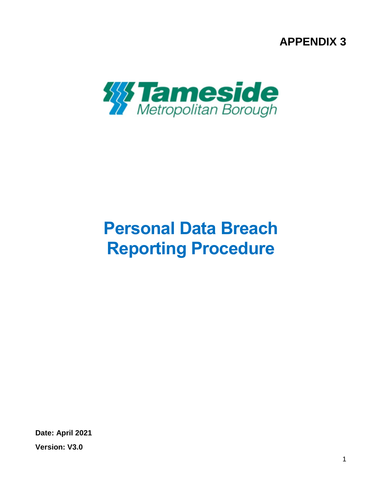**APPENDIX 3**



# **Personal Data Breach Reporting Procedure**

**Date: April 2021 Version: V3.0**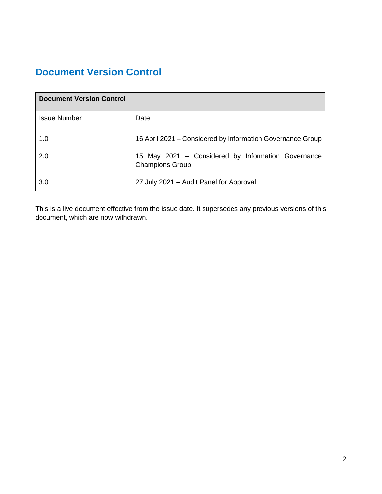# **Document Version Control**

| <b>Document Version Control</b> |                                                                              |
|---------------------------------|------------------------------------------------------------------------------|
| <b>Issue Number</b>             | Date                                                                         |
| 1.0                             | 16 April 2021 – Considered by Information Governance Group                   |
| 2.0                             | 15 May 2021 – Considered by Information Governance<br><b>Champions Group</b> |
| 3.0                             | 27 July 2021 - Audit Panel for Approval                                      |

This is a live document effective from the issue date. It supersedes any previous versions of this document, which are now withdrawn.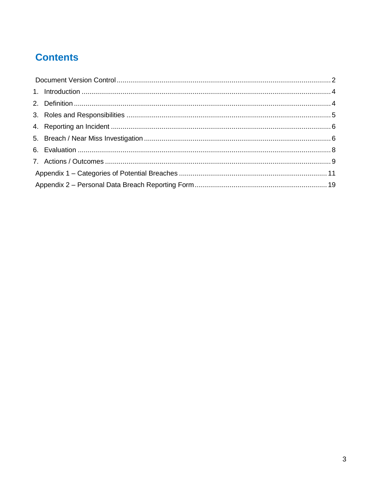# **Contents**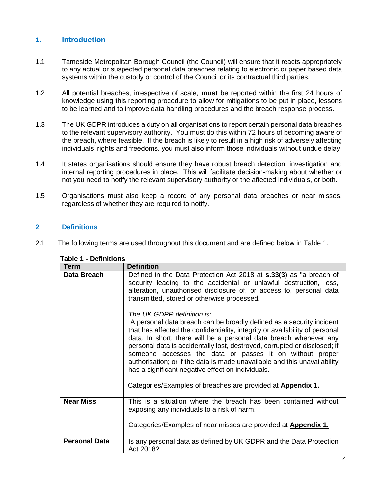## **1. Introduction**

- 1.1 Tameside Metropolitan Borough Council (the Council) will ensure that it reacts appropriately to any actual or suspected personal data breaches relating to electronic or paper based data systems within the custody or control of the Council or its contractual third parties.
- 1.2 All potential breaches, irrespective of scale, **must** be reported within the first 24 hours of knowledge using this reporting procedure to allow for mitigations to be put in place, lessons to be learned and to improve data handling procedures and the breach response process.
- 1.3 The UK GDPR introduces a duty on all organisations to report certain personal data breaches to the relevant supervisory authority. You must do this within 72 hours of becoming aware of the breach, where feasible. If the breach is likely to result in a high risk of adversely affecting individuals' rights and freedoms, you must also inform those individuals without undue delay.
- 1.4 It states organisations should ensure they have robust breach detection, investigation and internal reporting procedures in place. This will facilitate decision-making about whether or not you need to notify the relevant supervisory authority or the affected individuals, or both.
- 1.5 Organisations must also keep a record of any personal data breaches or near misses, regardless of whether they are required to notify.

#### **2 Definitions**

2.1 The following terms are used throughout this document and are defined below in Table 1.

| <b>Term</b>          | <b>Definition</b>                                                                                                                                                                                                                                                                                                                                                                                                                                                                                                                                                                                        |
|----------------------|----------------------------------------------------------------------------------------------------------------------------------------------------------------------------------------------------------------------------------------------------------------------------------------------------------------------------------------------------------------------------------------------------------------------------------------------------------------------------------------------------------------------------------------------------------------------------------------------------------|
| Data Breach          | Defined in the Data Protection Act 2018 at <b>s.33(3)</b> as "a breach of<br>security leading to the accidental or unlawful destruction, loss,<br>alteration, unauthorised disclosure of, or access to, personal data<br>transmitted, stored or otherwise processed.                                                                                                                                                                                                                                                                                                                                     |
|                      | The UK GDPR definition is:<br>A personal data breach can be broadly defined as a security incident<br>that has affected the confidentiality, integrity or availability of personal<br>data. In short, there will be a personal data breach whenever any<br>personal data is accidentally lost, destroyed, corrupted or disclosed; if<br>someone accesses the data or passes it on without proper<br>authorisation; or if the data is made unavailable and this unavailability<br>has a significant negative effect on individuals.<br>Categories/Examples of breaches are provided at <b>Appendix 1.</b> |
| <b>Near Miss</b>     | This is a situation where the breach has been contained without<br>exposing any individuals to a risk of harm.                                                                                                                                                                                                                                                                                                                                                                                                                                                                                           |
|                      | Categories/Examples of near misses are provided at Appendix 1.                                                                                                                                                                                                                                                                                                                                                                                                                                                                                                                                           |
| <b>Personal Data</b> | Is any personal data as defined by UK GDPR and the Data Protection<br>Act 2018?                                                                                                                                                                                                                                                                                                                                                                                                                                                                                                                          |

#### **Table 1 - Definitions**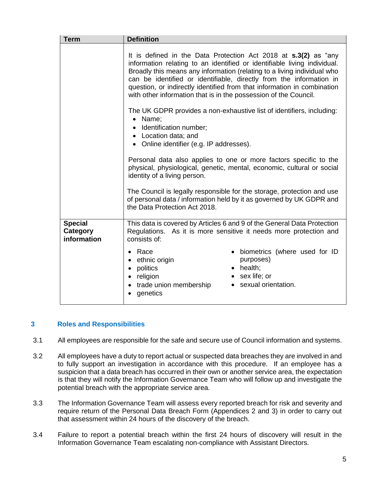| <b>Term</b>                               | <b>Definition</b>                                                                                                                                                                                                                                                                                                                                                                                                                                   |  |
|-------------------------------------------|-----------------------------------------------------------------------------------------------------------------------------------------------------------------------------------------------------------------------------------------------------------------------------------------------------------------------------------------------------------------------------------------------------------------------------------------------------|--|
|                                           | It is defined in the Data Protection Act 2018 at <b>s.3(2)</b> as "any<br>information relating to an identified or identifiable living individual.<br>Broadly this means any information (relating to a living individual who<br>can be identified or identifiable, directly from the information in<br>question, or indirectly identified from that information in combination<br>with other information that is in the possession of the Council. |  |
|                                           | The UK GDPR provides a non-exhaustive list of identifiers, including:<br>• Name;<br>• Identification number;<br>• Location data; and<br>• Online identifier (e.g. IP addresses).                                                                                                                                                                                                                                                                    |  |
|                                           | Personal data also applies to one or more factors specific to the<br>physical, physiological, genetic, mental, economic, cultural or social<br>identity of a living person.                                                                                                                                                                                                                                                                         |  |
|                                           | The Council is legally responsible for the storage, protection and use<br>of personal data / information held by it as governed by UK GDPR and<br>the Data Protection Act 2018.                                                                                                                                                                                                                                                                     |  |
| <b>Special</b><br>Category<br>information | This data is covered by Articles 6 and 9 of the General Data Protection<br>Regulations. As it is more sensitive it needs more protection and<br>consists of:                                                                                                                                                                                                                                                                                        |  |
|                                           | · biometrics (where used for ID<br>Race<br>$\bullet$<br>purposes)<br>ethnic origin<br>$\bullet$<br>$\bullet$ health;<br>politics<br>$\bullet$<br>• sex life; or<br>religion<br>$\bullet$<br>• sexual orientation.<br>trade union membership<br>$\bullet$<br>genetics                                                                                                                                                                                |  |

#### **3 Roles and Responsibilities**

- 3.1 All employees are responsible for the safe and secure use of Council information and systems.
- 3.2 All employees have a duty to report actual or suspected data breaches they are involved in and to fully support an investigation in accordance with this procedure. If an employee has a suspicion that a data breach has occurred in their own or another service area, the expectation is that they will notify the Information Governance Team who will follow up and investigate the potential breach with the appropriate service area.
- 3.3 The Information Governance Team will assess every reported breach for risk and severity and require return of the Personal Data Breach Form (Appendices 2 and 3) in order to carry out that assessment within 24 hours of the discovery of the breach.
- 3.4 Failure to report a potential breach within the first 24 hours of discovery will result in the Information Governance Team escalating non-compliance with Assistant Directors.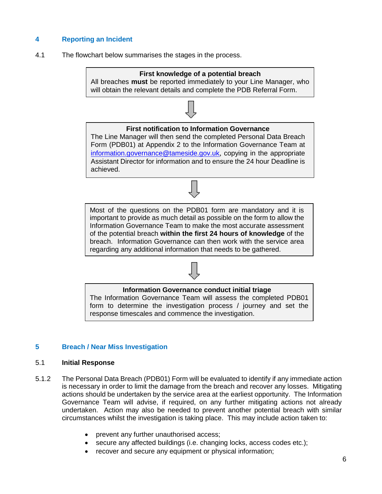## **4 Reporting an Incident**

4.1 The flowchart below summarises the stages in the process.

# **First knowledge of a potential breach**

All breaches **must** be reported immediately to your Line Manager, who will obtain the relevant details and complete the PDB Referral Form.

#### **First notification to Information Governance**

The Line Manager will then send the completed Personal Data Breach Form (PDB01) at Appendix 2 to the Information Governance Team at [information.governance@tameside.gov.uk](mailto:information.governance@tameside.gov.uk), copying in the appropriate Assistant Director for information and to ensure the 24 hour Deadline is achieved.

Most of the questions on the PDB01 form are mandatory and it is important to provide as much detail as possible on the form to allow the Information Governance Team to make the most accurate assessment of the potential breach **within the first 24 hours of knowledge** of the breach. Information Governance can then work with the service area regarding any additional information that needs to be gathered.

#### **Information Governance conduct initial triage**

The Information Governance Team will assess the completed PDB01 form to determine the investigation process / journey and set the response timescales and commence the investigation.

#### **5 Breach / Near Miss Investigation**

#### 5.1 **Initial Response**

- 5.1.2 The Personal Data Breach (PDB01) Form will be evaluated to identify if any immediate action is necessary in order to limit the damage from the breach and recover any losses. Mitigating actions should be undertaken by the service area at the earliest opportunity. The Information Governance Team will advise, if required, on any further mitigating actions not already undertaken. Action may also be needed to prevent another potential breach with similar circumstances whilst the investigation is taking place. This may include action taken to:
	- prevent any further unauthorised access;
	- secure any affected buildings (i.e. changing locks, access codes etc.);
	- recover and secure any equipment or physical information;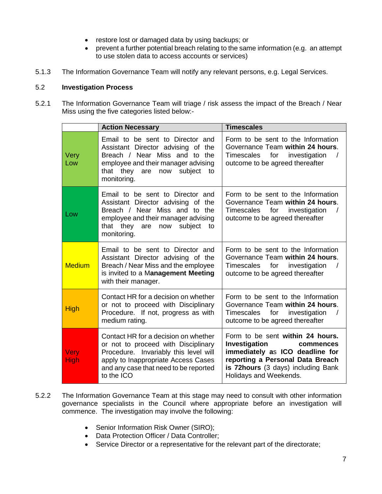- restore lost or damaged data by using backups; or
- prevent a further potential breach relating to the same information (e.g. an attempt to use stolen data to access accounts or services)
- 5.1.3 The Information Governance Team will notify any relevant persons, e.g. Legal Services.

#### 5.2 **Investigation Process**

5.2.1 The Information Governance Team will triage / risk assess the impact of the Breach / Near Miss using the five categories listed below:-

|                     | <b>Action Necessary</b>                                                                                                                                                                                            | <b>Timescales</b>                                                                                                                                                                                     |
|---------------------|--------------------------------------------------------------------------------------------------------------------------------------------------------------------------------------------------------------------|-------------------------------------------------------------------------------------------------------------------------------------------------------------------------------------------------------|
| Very<br>Low         | Email to be sent to Director and<br>Assistant Director advising of the<br>Breach / Near Miss and to the<br>employee and their manager advising<br>they<br>subject<br>that<br>are<br>now<br>to<br>monitoring.       | Form to be sent to the Information<br>Governance Team within 24 hours.<br>Timescales<br>for<br>investigation<br>outcome to be agreed thereafter                                                       |
| Low                 | Email to be sent to Director and<br>Assistant Director advising of the<br>Breach / Near Miss and to the<br>employee and their manager advising<br>that they are now<br>subject<br>to<br>monitoring.                | Form to be sent to the Information<br>Governance Team within 24 hours.<br>Timescales<br>for<br>investigation<br>outcome to be agreed thereafter                                                       |
| <b>Medium</b>       | Email to be sent to Director and<br>Assistant Director advising of the<br>Breach / Near Miss and the employee<br>is invited to a Management Meeting<br>with their manager.                                         | Form to be sent to the Information<br>Governance Team within 24 hours.<br>Timescales for investigation<br>outcome to be agreed thereafter                                                             |
| <b>High</b>         | Contact HR for a decision on whether<br>or not to proceed with Disciplinary<br>Procedure. If not, progress as with<br>medium rating.                                                                               | Form to be sent to the Information<br>Governance Team within 24 hours.<br>for<br>investigation<br><b>Timescales</b><br>outcome to be agreed thereafter                                                |
| <b>Very</b><br>High | Contact HR for a decision on whether<br>or not to proceed with Disciplinary<br>Procedure. Invariably this level will<br>apply to Inappropriate Access Cases<br>and any case that need to be reported<br>to the ICO | Form to be sent within 24 hours.<br>Investigation<br>commences<br>immediately as ICO deadline for<br>reporting a Personal Data Breach<br>is 72hours (3 days) including Bank<br>Holidays and Weekends. |

- 5.2.2 The Information Governance Team at this stage may need to consult with other information governance specialists in the Council where appropriate before an investigation will commence. The investigation may involve the following:
	- Senior Information Risk Owner (SIRO);
	- Data Protection Officer / Data Controller;
	- Service Director or a representative for the relevant part of the directorate;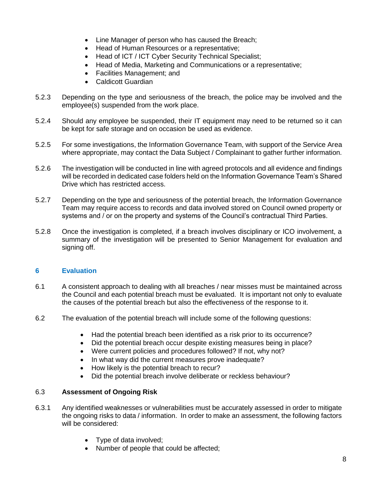- Line Manager of person who has caused the Breach;
- Head of Human Resources or a representative;
- Head of ICT / ICT Cyber Security Technical Specialist;
- Head of Media, Marketing and Communications or a representative;
- Facilities Management; and
- Caldicott Guardian
- 5.2.3 Depending on the type and seriousness of the breach, the police may be involved and the employee(s) suspended from the work place.
- 5.2.4 Should any employee be suspended, their IT equipment may need to be returned so it can be kept for safe storage and on occasion be used as evidence.
- 5.2.5 For some investigations, the Information Governance Team, with support of the Service Area where appropriate, may contact the Data Subject / Complainant to gather further information.
- 5.2.6 The investigation will be conducted in line with agreed protocols and all evidence and findings will be recorded in dedicated case folders held on the Information Governance Team's Shared Drive which has restricted access.
- 5.2.7 Depending on the type and seriousness of the potential breach, the Information Governance Team may require access to records and data involved stored on Council owned property or systems and / or on the property and systems of the Council's contractual Third Parties.
- 5.2.8 Once the investigation is completed, if a breach involves disciplinary or ICO involvement, a summary of the investigation will be presented to Senior Management for evaluation and signing off.

#### **6 Evaluation**

- 6.1 A consistent approach to dealing with all breaches / near misses must be maintained across the Council and each potential breach must be evaluated. It is important not only to evaluate the causes of the potential breach but also the effectiveness of the response to it.
- 6.2 The evaluation of the potential breach will include some of the following questions:
	- Had the potential breach been identified as a risk prior to its occurrence?
	- Did the potential breach occur despite existing measures being in place?
	- Were current policies and procedures followed? If not, why not?
	- In what way did the current measures prove inadequate?
	- How likely is the potential breach to recur?
	- Did the potential breach involve deliberate or reckless behaviour?

#### 6.3 **Assessment of Ongoing Risk**

- 6.3.1 Any identified weaknesses or vulnerabilities must be accurately assessed in order to mitigate the ongoing risks to data / information. In order to make an assessment, the following factors will be considered:
	- Type of data involved;
	- Number of people that could be affected;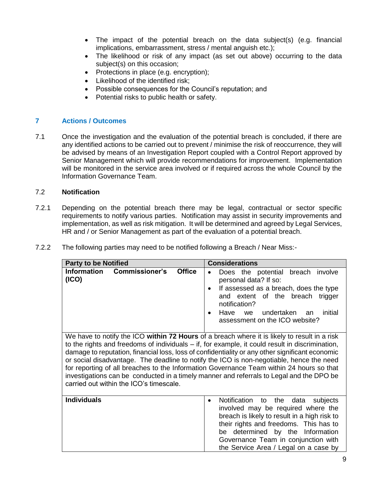- The impact of the potential breach on the data subject(s) (e.g. financial implications, embarrassment, stress / mental anguish etc.);
- The likelihood or risk of any impact (as set out above) occurring to the data subject(s) on this occasion;
- Protections in place (e.g. encryption);
- Likelihood of the identified risk;
- Possible consequences for the Council's reputation; and
- Potential risks to public health or safety.

#### **7 Actions / Outcomes**

7.1 Once the investigation and the evaluation of the potential breach is concluded, if there are any identified actions to be carried out to prevent / minimise the risk of reoccurrence, they will be advised by means of an Investigation Report coupled with a Control Report approved by Senior Management which will provide recommendations for improvement. Implementation will be monitored in the service area involved or if required across the whole Council by the Information Governance Team.

#### 7.2 **Notification**

7.2.1 Depending on the potential breach there may be legal, contractual or sector specific requirements to notify various parties. Notification may assist in security improvements and implementation, as well as risk mitigation. It will be determined and agreed by Legal Services, HR and / or Senior Management as part of the evaluation of a potential breach.

| 7.2.2 |  | The following parties may need to be notified following a Breach / Near Miss:- |
|-------|--|--------------------------------------------------------------------------------|
|       |  |                                                                                |

| <b>Party to be Notified</b>                                                                                                                                                                                                                                                                                                                                                                                                                                                                                                                                                                                                       | <b>Considerations</b>                                                                                                                                                                                                                                                                          |
|-----------------------------------------------------------------------------------------------------------------------------------------------------------------------------------------------------------------------------------------------------------------------------------------------------------------------------------------------------------------------------------------------------------------------------------------------------------------------------------------------------------------------------------------------------------------------------------------------------------------------------------|------------------------------------------------------------------------------------------------------------------------------------------------------------------------------------------------------------------------------------------------------------------------------------------------|
| <b>Commissioner's</b><br><b>Office</b><br><b>Information</b><br>(ICO)                                                                                                                                                                                                                                                                                                                                                                                                                                                                                                                                                             | breach involve<br>Does the potential<br>$\bullet$<br>personal data? If so:<br>If assessed as a breach, does the type<br>and extent of the breach<br>trigger<br>notification?<br>undertaken<br>Have<br>initial<br>we<br>an<br>assessment on the ICO website?                                    |
| We have to notify the ICO within 72 Hours of a breach where it is likely to result in a risk<br>to the rights and freedoms of individuals – if, for example, it could result in discrimination,<br>damage to reputation, financial loss, loss of confidentiality or any other significant economic<br>or social disadvantage. The deadline to notify the ICO is non-negotiable, hence the need<br>for reporting of all breaches to the Information Governance Team within 24 hours so that<br>investigations can be conducted in a timely manner and referrals to Legal and the DPO be<br>carried out within the ICO's timescale. |                                                                                                                                                                                                                                                                                                |
| <b>Individuals</b>                                                                                                                                                                                                                                                                                                                                                                                                                                                                                                                                                                                                                | Notification<br>to the<br>data<br>subjects<br>involved may be required where the<br>breach is likely to result in a high risk to<br>their rights and freedoms. This has to<br>be determined by the Information<br>Governance Team in conjunction with<br>the Service Area / Legal on a case by |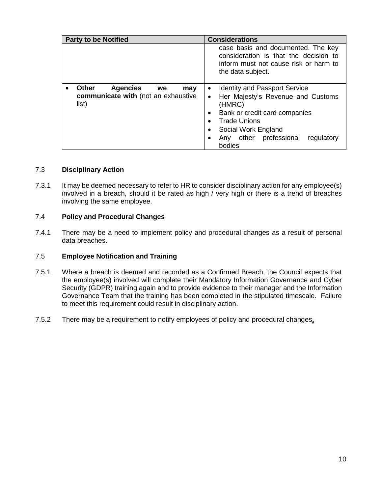| <b>Party to be Notified</b>                                                                  | <b>Considerations</b>                                                                                                                                                                                                             |
|----------------------------------------------------------------------------------------------|-----------------------------------------------------------------------------------------------------------------------------------------------------------------------------------------------------------------------------------|
|                                                                                              | case basis and documented. The key<br>consideration is that the decision to<br>inform must not cause risk or harm to<br>the data subject.                                                                                         |
| <b>Other</b><br><b>Agencies</b><br>we<br>may<br>communicate with (not an exhaustive<br>list) | <b>Identity and Passport Service</b><br>$\bullet$<br>Her Majesty's Revenue and Customs<br>(HMRC)<br>Bank or credit card companies<br><b>Trade Unions</b><br>Social Work England<br>Any other professional<br>regulatory<br>bodies |

#### 7.3 **Disciplinary Action**

7.3.1 It may be deemed necessary to refer to HR to consider disciplinary action for any employee(s) involved in a breach, should it be rated as high / very high or there is a trend of breaches involving the same employee.

#### 7.4 **Policy and Procedural Changes**

7.4.1 There may be a need to implement policy and procedural changes as a result of personal data breaches.

#### 7.5 **Employee Notification and Training**

- 7.5.1 Where a breach is deemed and recorded as a Confirmed Breach, the Council expects that the employee(s) involved will complete their Mandatory Information Governance and Cyber Security (GDPR) training again and to provide evidence to their manager and the Information Governance Team that the training has been completed in the stipulated timescale. Failure to meet this requirement could result in disciplinary action.
- 7.5.2 There may be a requirement to notify employees of policy and procedural changes**.**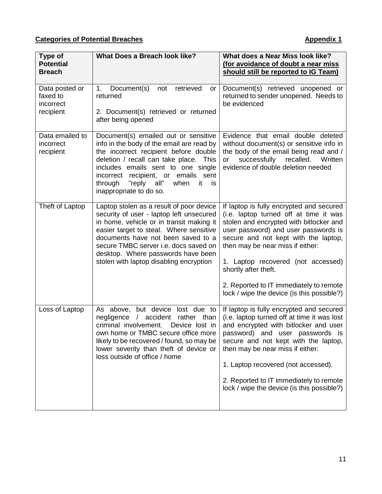| Type of<br><b>Potential</b><br><b>Breach</b>         | <b>What Does a Breach look like?</b>                                                                                                                                                                                                                                                                                                        | What does a Near Miss look like?<br>(for avoidance of doubt a near miss<br>should still be reported to IG Team)                                                                                                                                                                                                                                                                                          |
|------------------------------------------------------|---------------------------------------------------------------------------------------------------------------------------------------------------------------------------------------------------------------------------------------------------------------------------------------------------------------------------------------------|----------------------------------------------------------------------------------------------------------------------------------------------------------------------------------------------------------------------------------------------------------------------------------------------------------------------------------------------------------------------------------------------------------|
| Data posted or<br>faxed to<br>incorrect<br>recipient | retrieved<br>Document(s)<br>1.<br>not<br>or<br>returned<br>2. Document(s) retrieved or returned<br>after being opened                                                                                                                                                                                                                       | Document(s) retrieved unopened or<br>returned to sender unopened. Needs to<br>be evidenced                                                                                                                                                                                                                                                                                                               |
| Data emailed to<br>incorrect<br>recipient            | Document(s) emailed out or sensitive<br>info in the body of the email are read by<br>the incorrect recipient before double<br>deletion / recall can take place. This<br>includes emails sent to one single<br>incorrect recipient, or emails<br>sent<br>"reply all"<br>through<br>when<br>it<br>is<br>inappropriate to do so.               | Evidence that email double deleted<br>without document(s) or sensitive info in<br>the body of the email being read and /<br>recalled.<br>successfully<br>Written<br>or<br>evidence of double deletion needed                                                                                                                                                                                             |
| Theft of Laptop                                      | Laptop stolen as a result of poor device<br>security of user - laptop left unsecured<br>in home, vehicle or in transit making it<br>easier target to steal. Where sensitive<br>documents have not been saved to a<br>secure TMBC server i.e. docs saved on<br>desktop. Where passwords have been<br>stolen with laptop disabling encryption | If laptop is fully encrypted and secured<br>(i.e. laptop turned off at time it was<br>stolen and encrypted with bitlocker and<br>user password) and user passwords is<br>secure and not kept with the laptop,<br>then may be near miss if either:<br>1. Laptop recovered (not accessed)<br>shortly after theft.<br>2. Reported to IT immediately to remote<br>lock / wipe the device (is this possible?) |
| Loss of Laptop                                       | As above, but device<br>lost due to<br>accident<br>rather than<br>negligence<br>$\sqrt{2}$<br>criminal involvement.<br>Device lost in<br>own home or TMBC secure office more<br>likely to be recovered / found, so may be<br>lower severity than theft of device or<br>loss outside of office / home                                        | If laptop is fully encrypted and secured<br>(i.e. laptop turned off at time it was lost<br>and encrypted with bitlocker and user<br>password) and user passwords is<br>secure and not kept with the laptop,<br>then may be near miss if either:<br>1. Laptop recovered (not accessed).<br>2. Reported to IT immediately to remote<br>lock / wipe the device (is this possible?)                          |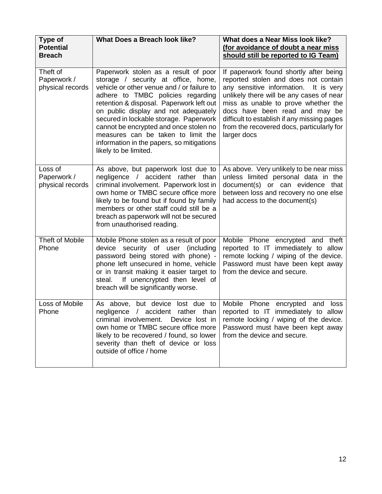| Type of<br><b>Potential</b><br><b>Breach</b> | What Does a Breach look like?                                                                                                                                                                                                                                                                                                                                                                                                                      | What does a Near Miss look like?<br>(for avoidance of doubt a near miss<br>should still be reported to IG Team)                                                                                                                                                                                                                                            |
|----------------------------------------------|----------------------------------------------------------------------------------------------------------------------------------------------------------------------------------------------------------------------------------------------------------------------------------------------------------------------------------------------------------------------------------------------------------------------------------------------------|------------------------------------------------------------------------------------------------------------------------------------------------------------------------------------------------------------------------------------------------------------------------------------------------------------------------------------------------------------|
| Theft of<br>Paperwork /<br>physical records  | Paperwork stolen as a result of poor<br>storage / security at office, home,<br>vehicle or other venue and / or failure to<br>adhere to TMBC policies regarding<br>retention & disposal. Paperwork left out<br>on public display and not adequately<br>secured in lockable storage. Paperwork<br>cannot be encrypted and once stolen no<br>measures can be taken to limit the<br>information in the papers, so mitigations<br>likely to be limited. | If paperwork found shortly after being<br>reported stolen and does not contain<br>any sensitive information.<br>It is very<br>unlikely there will be any cases of near<br>miss as unable to prove whether the<br>docs have been read and may be<br>difficult to establish if any missing pages<br>from the recovered docs, particularly for<br>larger docs |
| Loss of<br>Paperwork /<br>physical records   | As above, but paperwork lost due to<br>negligence / accident rather than<br>criminal involvement. Paperwork lost in<br>own home or TMBC secure office more<br>likely to be found but if found by family<br>members or other staff could still be a<br>breach as paperwork will not be secured<br>from unauthorised reading.                                                                                                                        | As above. Very unlikely to be near miss<br>unless limited personal data in the<br>document(s) or can evidence that<br>between loss and recovery no one else<br>had access to the document(s)                                                                                                                                                               |
| Theft of Mobile<br>Phone                     | Mobile Phone stolen as a result of poor<br>device security of user (including<br>password being stored with phone) -<br>phone left unsecured in home, vehicle<br>or in transit making it easier target to<br>If unencrypted then level of<br>steal.<br>breach will be significantly worse.                                                                                                                                                         | Mobile Phone encrypted and theft<br>reported to IT immediately to allow<br>remote locking / wiping of the device.<br>Password must have been kept away<br>from the device and secure.                                                                                                                                                                      |
| Loss of Mobile<br>Phone                      | As above, but device<br>lost due to<br>negligence / accident rather than<br>criminal involvement. Device lost in<br>own home or TMBC secure office more<br>likely to be recovered / found, so lower<br>severity than theft of device or loss<br>outside of office / home                                                                                                                                                                           | Mobile<br>Phone<br>encrypted<br>and<br>loss<br>reported to IT immediately to allow<br>remote locking / wiping of the device.<br>Password must have been kept away<br>from the device and secure.                                                                                                                                                           |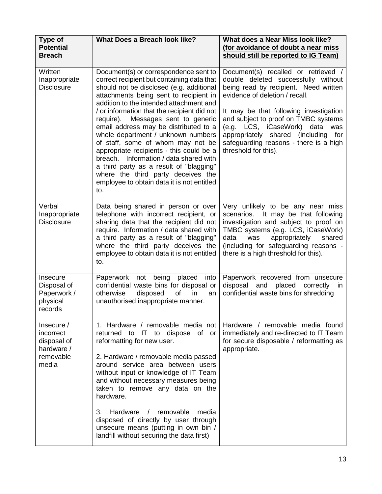| Type of<br><b>Potential</b><br><b>Breach</b>                               | What Does a Breach look like?                                                                                                                                                                                                                                                                                                                                                                                                                                                                                                                                                                                                                                | What does a Near Miss look like?<br>(for avoidance of doubt a near miss<br>should still be reported to IG Team)                                                                                                                                                                                                                                                                             |
|----------------------------------------------------------------------------|--------------------------------------------------------------------------------------------------------------------------------------------------------------------------------------------------------------------------------------------------------------------------------------------------------------------------------------------------------------------------------------------------------------------------------------------------------------------------------------------------------------------------------------------------------------------------------------------------------------------------------------------------------------|---------------------------------------------------------------------------------------------------------------------------------------------------------------------------------------------------------------------------------------------------------------------------------------------------------------------------------------------------------------------------------------------|
| Written<br>Inappropriate<br><b>Disclosure</b>                              | Document(s) or correspondence sent to<br>correct recipient but containing data that<br>should not be disclosed (e.g. additional<br>attachments being sent to recipient in<br>addition to the intended attachment and<br>/ or information that the recipient did not<br>Messages sent to generic<br>require).<br>email address may be distributed to a<br>whole department / unknown numbers<br>of staff, some of whom may not be<br>appropriate recipients - this could be a<br>breach. Information / data shared with<br>a third party as a result of "blagging"<br>where the third party deceives the<br>employee to obtain data it is not entitled<br>to. | Document(s) recalled or retrieved /<br>double deleted successfully without<br>being read by recipient. Need written<br>evidence of deletion / recall.<br>It may be that following investigation<br>and subject to proof on TMBC systems<br>(e.g. LCS, iCaseWork)<br>data<br>was<br>appropriately shared (including<br>for<br>safeguarding reasons - there is a high<br>threshold for this). |
| Verbal<br>Inappropriate<br><b>Disclosure</b>                               | Data being shared in person or over<br>telephone with incorrect recipient, or<br>sharing data that the recipient did not<br>require. Information / data shared with<br>a third party as a result of "blagging"<br>where the third party deceives the<br>employee to obtain data it is not entitled<br>to.                                                                                                                                                                                                                                                                                                                                                    | Very unlikely to be any near miss<br>scenarios.<br>It may be that following<br>investigation and subject to proof on<br>TMBC systems (e.g. LCS, iCaseWork)<br>data<br>appropriately<br>was<br>shared<br>(including for safeguarding reasons -<br>there is a high threshold for this).                                                                                                       |
| Insecure<br>Disposal of<br>Paperwork /<br>physical<br>records              | Paperwork<br>not being placed<br>into<br>confidential waste bins for disposal or<br>disposed<br>otherwise<br>of<br>in<br>an<br>unauthorised inappropriate manner.                                                                                                                                                                                                                                                                                                                                                                                                                                                                                            | Paperwork recovered from unsecure<br>disposal<br>and<br>placed<br>correctly<br><i>in</i><br>confidential waste bins for shredding                                                                                                                                                                                                                                                           |
| Insecure /<br>incorrect<br>disposal of<br>hardware /<br>removable<br>media | 1. Hardware / removable media not<br>returned to IT to dispose of or<br>reformatting for new user.<br>2. Hardware / removable media passed<br>around service area between users<br>without input or knowledge of IT Team<br>and without necessary measures being<br>taken to remove any data on the<br>hardware.<br>3.<br>Hardware<br>removable<br>media<br>$\sqrt{ }$<br>disposed of directly by user through<br>unsecure means (putting in own bin /<br>landfill without securing the data first)                                                                                                                                                          | Hardware / removable media found<br>immediately and re-directed to IT Team<br>for secure disposable / reformatting as<br>appropriate.                                                                                                                                                                                                                                                       |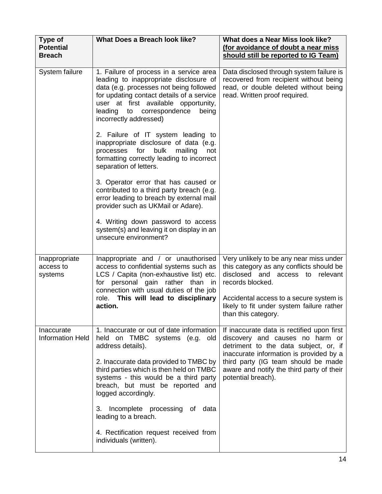| Type of<br><b>Potential</b><br><b>Breach</b> | What Does a Breach look like?                                                                                                                                                                                                                                                        | What does a Near Miss look like?<br>(for avoidance of doubt a near miss<br>should still be reported to IG Team)                                                   |
|----------------------------------------------|--------------------------------------------------------------------------------------------------------------------------------------------------------------------------------------------------------------------------------------------------------------------------------------|-------------------------------------------------------------------------------------------------------------------------------------------------------------------|
| System failure                               | 1. Failure of process in a service area<br>leading to inappropriate disclosure of<br>data (e.g. processes not being followed<br>for updating contact details of a service<br>user at first available opportunity,<br>leading<br>to correspondence<br>being<br>incorrectly addressed) | Data disclosed through system failure is<br>recovered from recipient without being<br>read, or double deleted without being<br>read. Written proof required.      |
|                                              | 2. Failure of IT system leading to<br>inappropriate disclosure of data (e.g.<br>processes for<br>bulk<br>mailing<br>not<br>formatting correctly leading to incorrect<br>separation of letters.                                                                                       |                                                                                                                                                                   |
|                                              | 3. Operator error that has caused or<br>contributed to a third party breach (e.g.<br>error leading to breach by external mail<br>provider such as UKMail or Adare).                                                                                                                  |                                                                                                                                                                   |
|                                              | 4. Writing down password to access<br>system(s) and leaving it on display in an<br>unsecure environment?                                                                                                                                                                             |                                                                                                                                                                   |
| Inappropriate<br>access to<br>systems        | Inappropriate and / or unauthorised<br>access to confidential systems such as<br>LCS / Capita (non-exhaustive list) etc.<br>for personal gain rather than in<br>connection with usual duties of the job                                                                              | Very unlikely to be any near miss under<br>this category as any conflicts should be<br>disclosed and<br>relevant<br>access to<br>records blocked.                 |
|                                              | role. This will lead to disciplinary<br>action.                                                                                                                                                                                                                                      | Accidental access to a secure system is<br>likely to fit under system failure rather<br>than this category.                                                       |
| Inaccurate<br><b>Information Held</b>        | 1. Inaccurate or out of date information<br>held on TMBC<br>systems (e.g. old<br>address details).                                                                                                                                                                                   | If inaccurate data is rectified upon first<br>discovery and causes no harm or<br>detriment to the data subject, or, if<br>inaccurate information is provided by a |
|                                              | 2. Inaccurate data provided to TMBC by<br>third parties which is then held on TMBC<br>systems - this would be a third party<br>breach, but must be reported and<br>logged accordingly.                                                                                               | third party (IG team should be made<br>aware and notify the third party of their<br>potential breach).                                                            |
|                                              | Incomplete processing of data<br>3.<br>leading to a breach.                                                                                                                                                                                                                          |                                                                                                                                                                   |
|                                              | 4. Rectification request received from<br>individuals (written).                                                                                                                                                                                                                     |                                                                                                                                                                   |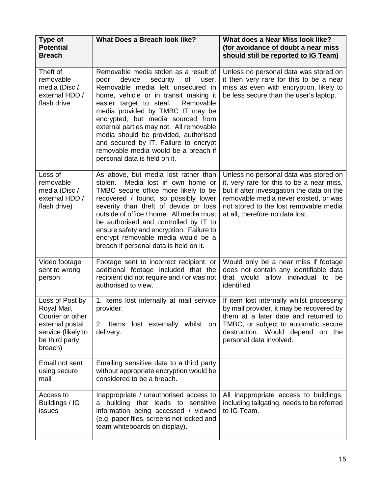| Type of<br><b>Potential</b><br><b>Breach</b>                                                                             | <b>What Does a Breach look like?</b>                                                                                                                                                                                                                                                                                                                                                                                                                                                  | What does a Near Miss look like?<br>(for avoidance of doubt a near miss<br>should still be reported to IG Team)                                                                                                                                        |
|--------------------------------------------------------------------------------------------------------------------------|---------------------------------------------------------------------------------------------------------------------------------------------------------------------------------------------------------------------------------------------------------------------------------------------------------------------------------------------------------------------------------------------------------------------------------------------------------------------------------------|--------------------------------------------------------------------------------------------------------------------------------------------------------------------------------------------------------------------------------------------------------|
| Theft of<br>removable<br>media (Disc /<br>external HDD /<br>flash drive                                                  | Removable media stolen as a result of<br>device<br>security<br>οf<br>poor<br>user.<br>Removable media left unsecured in<br>home, vehicle or in transit making it<br>easier target to steal.<br>Removable<br>media provided by TMBC IT may be<br>encrypted, but media sourced from<br>external parties may not. All removable<br>media should be provided, authorised<br>and secured by IT. Failure to encrypt<br>removable media would be a breach if<br>personal data is held on it. | Unless no personal data was stored on<br>it then very rare for this to be a near<br>miss as even with encryption, likely to<br>be less secure than the user's laptop.                                                                                  |
| Loss of<br>removable<br>media (Disc /<br>external HDD /<br>flash drive)                                                  | As above, but media lost rather than<br>Media lost in own home or<br>stolen.<br>TMBC secure office more likely to be<br>recovered / found, so possibly lower<br>severity than theft of device or loss<br>outside of office / home. All media must<br>be authorised and controlled by IT to<br>ensure safety and encryption. Failure to<br>encrypt removable media would be a<br>breach if personal data is held on it.                                                                | Unless no personal data was stored on<br>it, very rare for this to be a near miss,<br>but if after investigation the data on the<br>removable media never existed, or was<br>not stored to the lost removable media<br>at all, therefore no data lost. |
| Video footage<br>sent to wrong<br>person                                                                                 | Footage sent to incorrect recipient, or<br>additional footage included that the<br>recipient did not require and / or was not<br>authorised to view.                                                                                                                                                                                                                                                                                                                                  | Would only be a near miss if footage<br>does not contain any identifiable data<br>allow individual to be<br>that would<br>identified                                                                                                                   |
| Loss of Post by<br>Royal Mail,<br>Courier or other<br>external postal<br>service (likely to<br>be third party<br>breach) | 1. Items lost internally at mail service<br>provider.<br>Items lost externally whilst on<br>2.<br>delivery.                                                                                                                                                                                                                                                                                                                                                                           | If item lost internally whilst processing<br>by mail provider, it may be recovered by<br>them at a later date and returned to<br>TMBC, or subject to automatic secure<br>destruction. Would depend on the<br>personal data involved.                   |
| Email not sent<br>using secure<br>mail                                                                                   | Emailing sensitive data to a third party<br>without appropriate encryption would be<br>considered to be a breach.                                                                                                                                                                                                                                                                                                                                                                     |                                                                                                                                                                                                                                                        |
| Access to<br>Buildings / IG<br>issues                                                                                    | Inappropriate / unauthorised access to<br>a building that leads to sensitive<br>information being accessed / viewed<br>(e.g. paper files, screens not locked and<br>team whiteboards on display).                                                                                                                                                                                                                                                                                     | All inappropriate access to buildings,<br>including tailgating, needs to be referred<br>to IG Team.                                                                                                                                                    |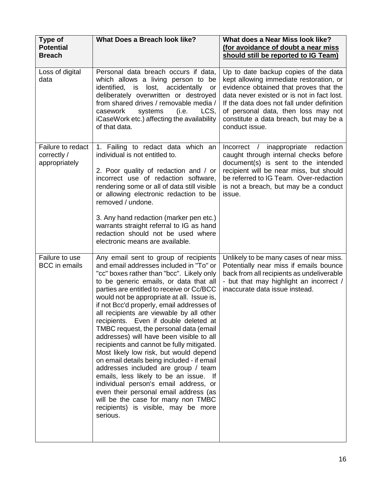| <b>Type of</b><br><b>Potential</b><br><b>Breach</b> | What Does a Breach look like?                                                                                                                                                                                                                                                                                                                                                                                                                                                                                                                                                                                                                                                                                                                                                                                                                                                                    | What does a Near Miss look like?<br>(for avoidance of doubt a near miss<br>should still be reported to IG Team)                                                                                                                                                                                                          |
|-----------------------------------------------------|--------------------------------------------------------------------------------------------------------------------------------------------------------------------------------------------------------------------------------------------------------------------------------------------------------------------------------------------------------------------------------------------------------------------------------------------------------------------------------------------------------------------------------------------------------------------------------------------------------------------------------------------------------------------------------------------------------------------------------------------------------------------------------------------------------------------------------------------------------------------------------------------------|--------------------------------------------------------------------------------------------------------------------------------------------------------------------------------------------------------------------------------------------------------------------------------------------------------------------------|
| Loss of digital<br>data                             | Personal data breach occurs if data,<br>which allows a living person to be<br>lost, accidentally<br>identified,<br>is<br>or<br>deliberately overwritten or destroyed<br>from shared drives / removable media /<br>casework<br>systems<br>LCS,<br>(i.e.<br>iCaseWork etc.) affecting the availability<br>of that data.                                                                                                                                                                                                                                                                                                                                                                                                                                                                                                                                                                            | Up to date backup copies of the data<br>kept allowing immediate restoration, or<br>evidence obtained that proves that the<br>data never existed or is not in fact lost.<br>If the data does not fall under definition<br>of personal data, then loss may not<br>constitute a data breach, but may be a<br>conduct issue. |
| Failure to redact<br>correctly /<br>appropriately   | 1. Failing to redact data which an<br>individual is not entitled to.<br>2. Poor quality of redaction and / or<br>incorrect use of redaction software,<br>rendering some or all of data still visible<br>or allowing electronic redaction to be<br>removed / undone.<br>3. Any hand redaction (marker pen etc.)<br>warrants straight referral to IG as hand<br>redaction should not be used where<br>electronic means are available.                                                                                                                                                                                                                                                                                                                                                                                                                                                              | Incorrect / inappropriate redaction<br>caught through internal checks before<br>document(s) is sent to the intended<br>recipient will be near miss, but should<br>be referred to IG Team. Over-redaction<br>is not a breach, but may be a conduct<br>issue.                                                              |
| Failure to use<br><b>BCC</b> in emails              | Any email sent to group of recipients<br>and email addresses included in "To" or<br>"cc" boxes rather than "bcc". Likely only<br>to be generic emails, or data that all<br>parties are entitled to receive or Cc/BCC<br>would not be appropriate at all. Issue is,<br>if not Bcc'd properly, email addresses of<br>all recipients are viewable by all other<br>recipients. Even if double deleted at<br>TMBC request, the personal data (email<br>addresses) will have been visible to all<br>recipients and cannot be fully mitigated.<br>Most likely low risk, but would depend<br>on email details being included - if email<br>addresses included are group / team<br>emails, less likely to be an issue.<br>- If<br>individual person's email address, or<br>even their personal email address (as<br>will be the case for many non TMBC<br>recipients) is visible, may be more<br>serious. | Unlikely to be many cases of near miss.<br>Potentially near miss if emails bounce<br>back from all recipients as undeliverable<br>- but that may highlight an incorrect /<br>inaccurate data issue instead.                                                                                                              |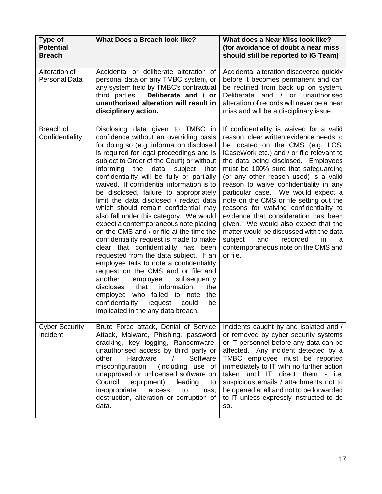| Type of<br><b>Potential</b><br><b>Breach</b> | What Does a Breach look like?                                                                                                                                                                                                                                                                                                                                                                                                                                                                                                                                                                                                                                                                                                                                                                                                                                                                                                                                                                                                                      | What does a Near Miss look like?<br>(for avoidance of doubt a near miss<br>should still be reported to IG Team)                                                                                                                                                                                                                                                                                                                                                                                                                                                                                                                                                                          |
|----------------------------------------------|----------------------------------------------------------------------------------------------------------------------------------------------------------------------------------------------------------------------------------------------------------------------------------------------------------------------------------------------------------------------------------------------------------------------------------------------------------------------------------------------------------------------------------------------------------------------------------------------------------------------------------------------------------------------------------------------------------------------------------------------------------------------------------------------------------------------------------------------------------------------------------------------------------------------------------------------------------------------------------------------------------------------------------------------------|------------------------------------------------------------------------------------------------------------------------------------------------------------------------------------------------------------------------------------------------------------------------------------------------------------------------------------------------------------------------------------------------------------------------------------------------------------------------------------------------------------------------------------------------------------------------------------------------------------------------------------------------------------------------------------------|
| Alteration of<br><b>Personal Data</b>        | Accidental or deliberate alteration of<br>personal data on any TMBC system, or<br>any system held by TMBC's contractual<br>third parties.<br>Deliberate and / or<br>unauthorised alteration will result in<br>disciplinary action.                                                                                                                                                                                                                                                                                                                                                                                                                                                                                                                                                                                                                                                                                                                                                                                                                 | Accidental alteration discovered quickly<br>before it becomes permanent and can<br>be rectified from back up on system.<br>and / or unauthorised<br>Deliberate<br>alteration of records will never be a near<br>miss and will be a disciplinary issue.                                                                                                                                                                                                                                                                                                                                                                                                                                   |
| Breach of<br>Confidentiality                 | Disclosing data given to TMBC in<br>confidence without an overriding basis<br>for doing so (e.g. information disclosed<br>is required for legal proceedings and is<br>subject to Order of the Court) or without<br>informing<br>the<br>data<br>subject<br>that<br>confidentiality will be fully or partially<br>waived. If confidential information is to<br>be disclosed, failure to appropriately<br>limit the data disclosed / redact data<br>which should remain confidential may<br>also fall under this category. We would<br>expect a contemporaneous note placing<br>on the CMS and / or file at the time the<br>confidentiality request is made to make<br>clear that confidentiality has<br>been<br>requested from the data subject. If an<br>employee fails to note a confidentiality<br>request on the CMS and or file and<br>another<br>employee<br>subsequently<br>discloses<br>that<br>information,<br>the<br>employee who failed to note<br>the<br>confidentiality<br>request<br>could<br>be<br>implicated in the any data breach. | If confidentiality is waived for a valid<br>reason, clear written evidence needs to<br>be located on the CMS (e.g. LCS,<br>iCaseWork etc.) and / or file relevant to<br>the data being disclosed. Employees<br>must be 100% sure that safeguarding<br>(or any other reason used) is a valid<br>reason to waive confidentiality in any<br>particular case. We would expect a<br>note on the CMS or file setting out the<br>reasons for waiving confidentiality to<br>evidence that consideration has been<br>given. We would also expect that the<br>matter would be discussed with the data<br>subject<br>and<br>recorded<br>in.<br>a<br>contemporaneous note on the CMS and<br>or file. |
| <b>Cyber Security</b><br>Incident            | Brute Force attack, Denial of Service<br>Attack, Malware, Phishing, password<br>cracking, key logging, Ransomware,<br>unauthorised access by third party or<br>Hardware<br>Software<br>other<br>$\prime$<br>misconfiguration<br>(including use of<br>unapproved or unlicensed software on<br>Council<br>equipment)<br>leading<br>to<br>inappropriate<br>access<br>to,<br>loss,<br>destruction, alteration or corruption of<br>data.                                                                                                                                                                                                                                                                                                                                                                                                                                                                                                                                                                                                                | Incidents caught by and isolated and /<br>or removed by cyber security systems<br>or IT personnel before any data can be<br>affected. Any incident detected by a<br>TMBC employee must be reported<br>immediately to IT with no further action<br>taken until IT<br>direct them - i.e.<br>suspicious emails / attachments not to<br>be opened at all and not to be forwarded<br>to IT unless expressly instructed to do<br>SO.                                                                                                                                                                                                                                                           |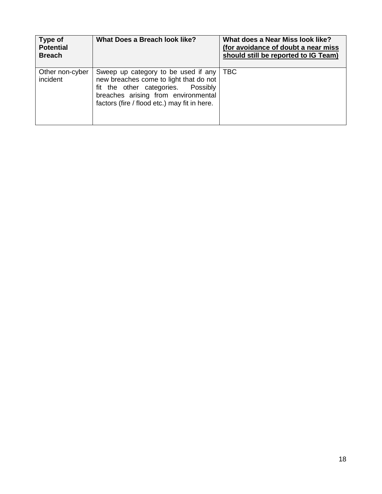| Type of<br><b>Potential</b><br><b>Breach</b> | What Does a Breach look like?                                                                                                                                                                              | What does a Near Miss look like?<br>(for avoidance of doubt a near miss<br>should still be reported to IG Team) |
|----------------------------------------------|------------------------------------------------------------------------------------------------------------------------------------------------------------------------------------------------------------|-----------------------------------------------------------------------------------------------------------------|
| Other non-cyber<br>incident                  | Sweep up category to be used if any<br>new breaches come to light that do not<br>fit the other categories. Possibly<br>breaches arising from environmental<br>factors (fire / flood etc.) may fit in here. | <b>TBC</b>                                                                                                      |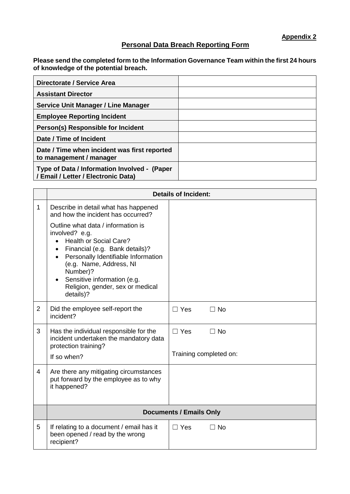**Appendix 2**

## **Personal Data Breach Reporting Form**

**Please send the completed form to the Information Governance Team within the first 24 hours of knowledge of the potential breach.** 

| Directorate / Service Area                                                          |  |
|-------------------------------------------------------------------------------------|--|
| <b>Assistant Director</b>                                                           |  |
| Service Unit Manager / Line Manager                                                 |  |
| <b>Employee Reporting Incident</b>                                                  |  |
| Person(s) Responsible for Incident                                                  |  |
| Date / Time of Incident                                                             |  |
| Date / Time when incident was first reported<br>to management / manager             |  |
| Type of Data / Information Involved - (Paper<br>/ Email / Letter / Electronic Data) |  |

|                | <b>Details of Incident:</b>                                                                                                                                                                                                                                                                        |                         |  |
|----------------|----------------------------------------------------------------------------------------------------------------------------------------------------------------------------------------------------------------------------------------------------------------------------------------------------|-------------------------|--|
| $\mathbf 1$    | Describe in detail what has happened<br>and how the incident has occurred?                                                                                                                                                                                                                         |                         |  |
|                | Outline what data / information is<br>involved? e.g.<br><b>Health or Social Care?</b><br>Financial (e.g. Bank details)?<br>Personally Identifiable Information<br>(e.g. Name, Address, NI<br>Number)?<br>Sensitive information (e.g.<br>$\bullet$<br>Religion, gender, sex or medical<br>details)? |                         |  |
| $\overline{2}$ | Did the employee self-report the<br>incident?                                                                                                                                                                                                                                                      | $\Box$ Yes<br>$\Box$ No |  |
| 3              | Has the individual responsible for the<br>incident undertaken the mandatory data<br>protection training?                                                                                                                                                                                           | $\Box$ No<br>$\Box$ Yes |  |
|                | If so when?                                                                                                                                                                                                                                                                                        | Training completed on:  |  |
| 4              | Are there any mitigating circumstances<br>put forward by the employee as to why<br>it happened?                                                                                                                                                                                                    |                         |  |
|                | <b>Documents / Emails Only</b>                                                                                                                                                                                                                                                                     |                         |  |
| 5              | If relating to a document / email has it<br>been opened / read by the wrong<br>recipient?                                                                                                                                                                                                          | $\Box$ Yes<br>$\Box$ No |  |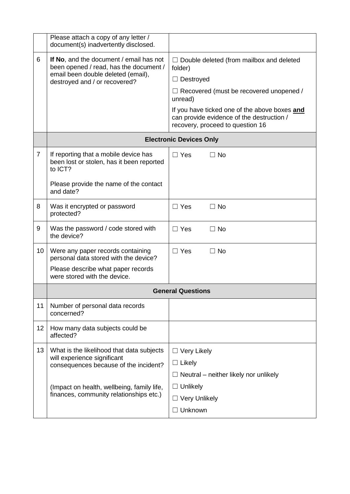|                | Please attach a copy of any letter /<br>document(s) inadvertently disclosed.                                                                             |                                                                                                                                |
|----------------|----------------------------------------------------------------------------------------------------------------------------------------------------------|--------------------------------------------------------------------------------------------------------------------------------|
| 6              | If No, and the document / email has not<br>been opened / read, has the document /<br>email been double deleted (email),<br>destroyed and / or recovered? | $\Box$ Double deleted (from mailbox and deleted<br>folder)                                                                     |
|                |                                                                                                                                                          | $\Box$ Destroyed                                                                                                               |
|                |                                                                                                                                                          | $\Box$ Recovered (must be recovered unopened /<br>unread)                                                                      |
|                |                                                                                                                                                          | If you have ticked one of the above boxes and<br>can provide evidence of the destruction /<br>recovery, proceed to question 16 |
|                |                                                                                                                                                          | <b>Electronic Devices Only</b>                                                                                                 |
| $\overline{7}$ | If reporting that a mobile device has<br>been lost or stolen, has it been reported<br>to ICT?                                                            | $\Box$ Yes<br>$\Box$ No                                                                                                        |
|                | Please provide the name of the contact<br>and date?                                                                                                      |                                                                                                                                |
| 8              | Was it encrypted or password<br>protected?                                                                                                               | $\Box$ Yes<br>$\Box$ No                                                                                                        |
| 9              | Was the password / code stored with<br>the device?                                                                                                       | $\Box$ Yes<br>$\Box$ No                                                                                                        |
| 10             | Were any paper records containing<br>personal data stored with the device?                                                                               | $\Box$ No<br>$\Box$ Yes                                                                                                        |
|                | Please describe what paper records<br>were stored with the device.                                                                                       |                                                                                                                                |
|                | <b>General Questions</b>                                                                                                                                 |                                                                                                                                |
| 11             | Number of personal data records<br>concerned?                                                                                                            |                                                                                                                                |
| 12             | How many data subjects could be<br>affected?                                                                                                             |                                                                                                                                |
| 13             | What is the likelihood that data subjects<br>will experience significant<br>consequences because of the incident?                                        | $\Box$ Very Likely                                                                                                             |
|                |                                                                                                                                                          | $\Box$ Likely                                                                                                                  |
|                |                                                                                                                                                          | $\Box$ Neutral – neither likely nor unlikely                                                                                   |
|                | (Impact on health, wellbeing, family life,<br>finances, community relationships etc.)                                                                    | $\Box$ Unlikely                                                                                                                |
|                |                                                                                                                                                          | $\Box$ Very Unlikely                                                                                                           |
|                |                                                                                                                                                          | Unknown<br>$\Box$                                                                                                              |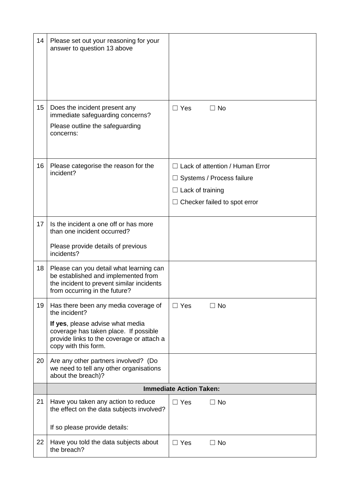| 14 | Please set out your reasoning for your<br>answer to question 13 above                                                                                                                                   |                                                                                                                                       |
|----|---------------------------------------------------------------------------------------------------------------------------------------------------------------------------------------------------------|---------------------------------------------------------------------------------------------------------------------------------------|
| 15 | Does the incident present any<br>immediate safeguarding concerns?<br>Please outline the safeguarding<br>concerns:                                                                                       | $\Box$ Yes<br>$\Box$ No                                                                                                               |
| 16 | Please categorise the reason for the<br>incident?                                                                                                                                                       | $\Box$ Lack of attention / Human Error<br>Systems / Process failure<br>$\Box$ Lack of training<br>$\Box$ Checker failed to spot error |
| 17 | Is the incident a one off or has more<br>than one incident occurred?<br>Please provide details of previous<br>incidents?                                                                                |                                                                                                                                       |
| 18 | Please can you detail what learning can<br>be established and implemented from<br>the incident to prevent similar incidents<br>from occurring in the future?                                            |                                                                                                                                       |
| 19 | Has there been any media coverage of<br>the incident?<br>If yes, please advise what media<br>coverage has taken place. If possible<br>provide links to the coverage or attach a<br>copy with this form. | $\Box$ Yes<br>$\Box$ No                                                                                                               |
| 20 | Are any other partners involved? (Do<br>we need to tell any other organisations<br>about the breach)?                                                                                                   |                                                                                                                                       |
|    | <b>Immediate Action Taken:</b>                                                                                                                                                                          |                                                                                                                                       |
| 21 | Have you taken any action to reduce<br>the effect on the data subjects involved?<br>If so please provide details:                                                                                       | $\Box$ Yes<br>$\Box$ No                                                                                                               |
| 22 | Have you told the data subjects about<br>the breach?                                                                                                                                                    | $\Box$ Yes<br>$\Box$ No                                                                                                               |